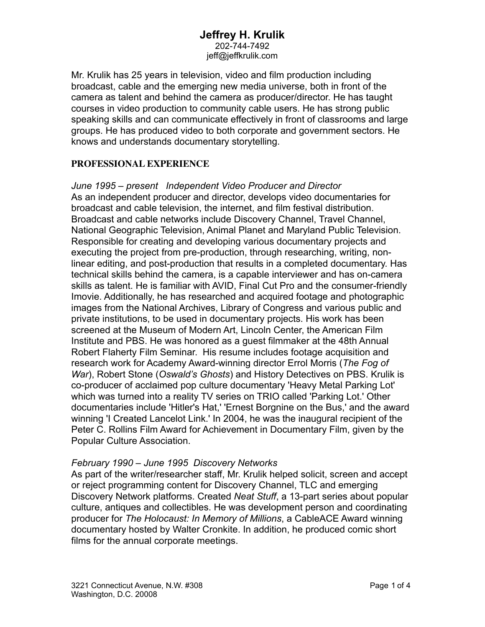# **Jeffrey H. Krulik** 202-744-7492

jeff@jeffkrulik.com

Mr. Krulik has 25 years in television, video and film production including broadcast, cable and the emerging new media universe, both in front of the camera as talent and behind the camera as producer/director. He has taught courses in video production to community cable users. He has strong public speaking skills and can communicate effectively in front of classrooms and large groups. He has produced video to both corporate and government sectors. He knows and understands documentary storytelling.

## **PROFESSIONAL EXPERIENCE**

*June 1995 – present Independent Video Producer and Director*  As an independent producer and director, develops video documentaries for broadcast and cable television, the internet, and film festival distribution. Broadcast and cable networks include Discovery Channel, Travel Channel, National Geographic Television, Animal Planet and Maryland Public Television. Responsible for creating and developing various documentary projects and executing the project from pre-production, through researching, writing, nonlinear editing, and post-production that results in a completed documentary. Has technical skills behind the camera, is a capable interviewer and has on-camera skills as talent. He is familiar with AVID, Final Cut Pro and the consumer-friendly Imovie. Additionally, he has researched and acquired footage and photographic images from the National Archives, Library of Congress and various public and private institutions, to be used in documentary projects. His work has been screened at the Museum of Modern Art, Lincoln Center, the American Film Institute and PBS. He was honored as a guest filmmaker at the 48th Annual Robert Flaherty Film Seminar. His resume includes footage acquisition and research work for Academy Award-winning director Errol Morris (*The Fog of War*), Robert Stone (*Oswald's Ghosts*) and History Detectives on PBS. Krulik is co-producer of acclaimed pop culture documentary 'Heavy Metal Parking Lot' which was turned into a reality TV series on TRIO called 'Parking Lot.' Other documentaries include 'Hitler's Hat,' 'Ernest Borgnine on the Bus,' and the award winning 'I Created Lancelot Link.' In 2004, he was the inaugural recipient of the Peter C. Rollins Film Award for Achievement in Documentary Film, given by the Popular Culture Association.

## *February 1990 – June 1995 Discovery Networks*

As part of the writer/researcher staff, Mr. Krulik helped solicit, screen and accept or reject programming content for Discovery Channel, TLC and emerging Discovery Network platforms. Created *Neat Stuff*, a 13-part series about popular culture, antiques and collectibles. He was development person and coordinating producer for *The Holocaust: In Memory of Millions*, a CableACE Award winning documentary hosted by Walter Cronkite. In addition, he produced comic short films for the annual corporate meetings.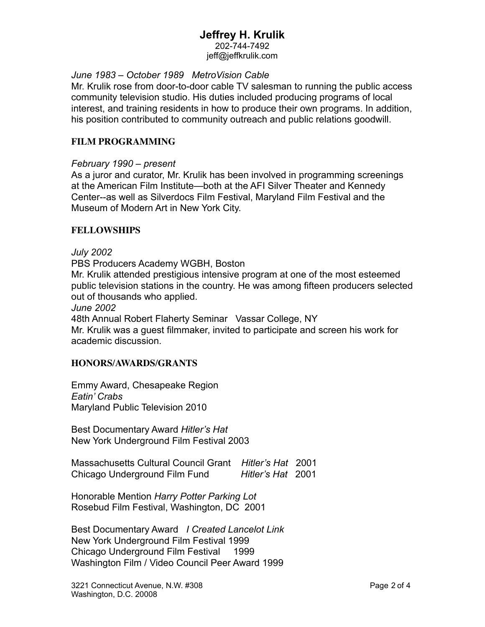# **Jeffrey H. Krulik**

202-744-7492 jeff@jeffkrulik.com

## *June 1983 – October 1989 MetroVision Cable*

Mr. Krulik rose from door-to-door cable TV salesman to running the public access community television studio. His duties included producing programs of local interest, and training residents in how to produce their own programs. In addition, his position contributed to community outreach and public relations goodwill.

## **FILM PROGRAMMING**

## *February 1990 – present*

As a juror and curator, Mr. Krulik has been involved in programming screenings at the American Film Institute—both at the AFI Silver Theater and Kennedy Center--as well as Silverdocs Film Festival, Maryland Film Festival and the Museum of Modern Art in New York City.

## **FELLOWSHIPS**

*July 2002*

PBS Producers Academy WGBH, Boston

Mr. Krulik attended prestigious intensive program at one of the most esteemed public television stations in the country. He was among fifteen producers selected out of thousands who applied.

*June 2002*

48th Annual Robert Flaherty Seminar Vassar College, NY Mr. Krulik was a guest filmmaker, invited to participate and screen his work for academic discussion.

## **HONORS/AWARDS/GRANTS**

Emmy Award, Chesapeake Region *Eatin' Crabs* Maryland Public Television 2010

Best Documentary Award *Hitler's Hat* New York Underground Film Festival 2003

Massachusetts Cultural Council Grant *Hitler's Hat* 2001 Chicago Underground Film Fund *Hitler's Hat* 2001

Honorable Mention *Harry Potter Parking Lot* Rosebud Film Festival, Washington, DC 2001

Best Documentary Award *I Created Lancelot Link*  New York Underground Film Festival 1999 Chicago Underground Film Festival 1999 Washington Film / Video Council Peer Award 1999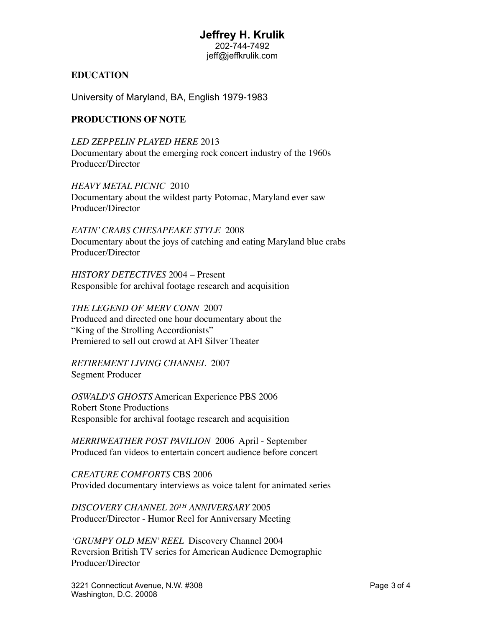## **Jeffrey H. Krulik** 202-744-7492 jeff@jeffkrulik.com

#### **EDUCATION**

University of Maryland, BA, English 1979-1983

#### **PRODUCTIONS OF NOTE**

*LED ZEPPELIN PLAYED HERE* 2013 Documentary about the emerging rock concert industry of the 1960s Producer/Director

*HEAVY METAL PICNIC* 2010 Documentary about the wildest party Potomac, Maryland ever saw Producer/Director

*EATIN' CRABS CHESAPEAKE STYLE* 2008 Documentary about the joys of catching and eating Maryland blue crabs Producer/Director

*HISTORY DETECTIVES* 2004 – Present Responsible for archival footage research and acquisition

*THE LEGEND OF MERV CONN* 2007 Produced and directed one hour documentary about the "King of the Strolling Accordionists" Premiered to sell out crowd at AFI Silver Theater

*RETIREMENT LIVING CHANNEL* 2007 Segment Producer

*OSWALD'S GHOSTS* American Experience PBS 2006 Robert Stone Productions Responsible for archival footage research and acquisition

*MERRIWEATHER POST PAVILION* 2006 April - September Produced fan videos to entertain concert audience before concert

*CREATURE COMFORTS* CBS 2006 Provided documentary interviews as voice talent for animated series

*DISCOVERY CHANNEL 20TH ANNIVERSARY* 2005 Producer/Director - Humor Reel for Anniversary Meeting

*'GRUMPY OLD MEN' REEL* Discovery Channel 2004 Reversion British TV series for American Audience Demographic Producer/Director